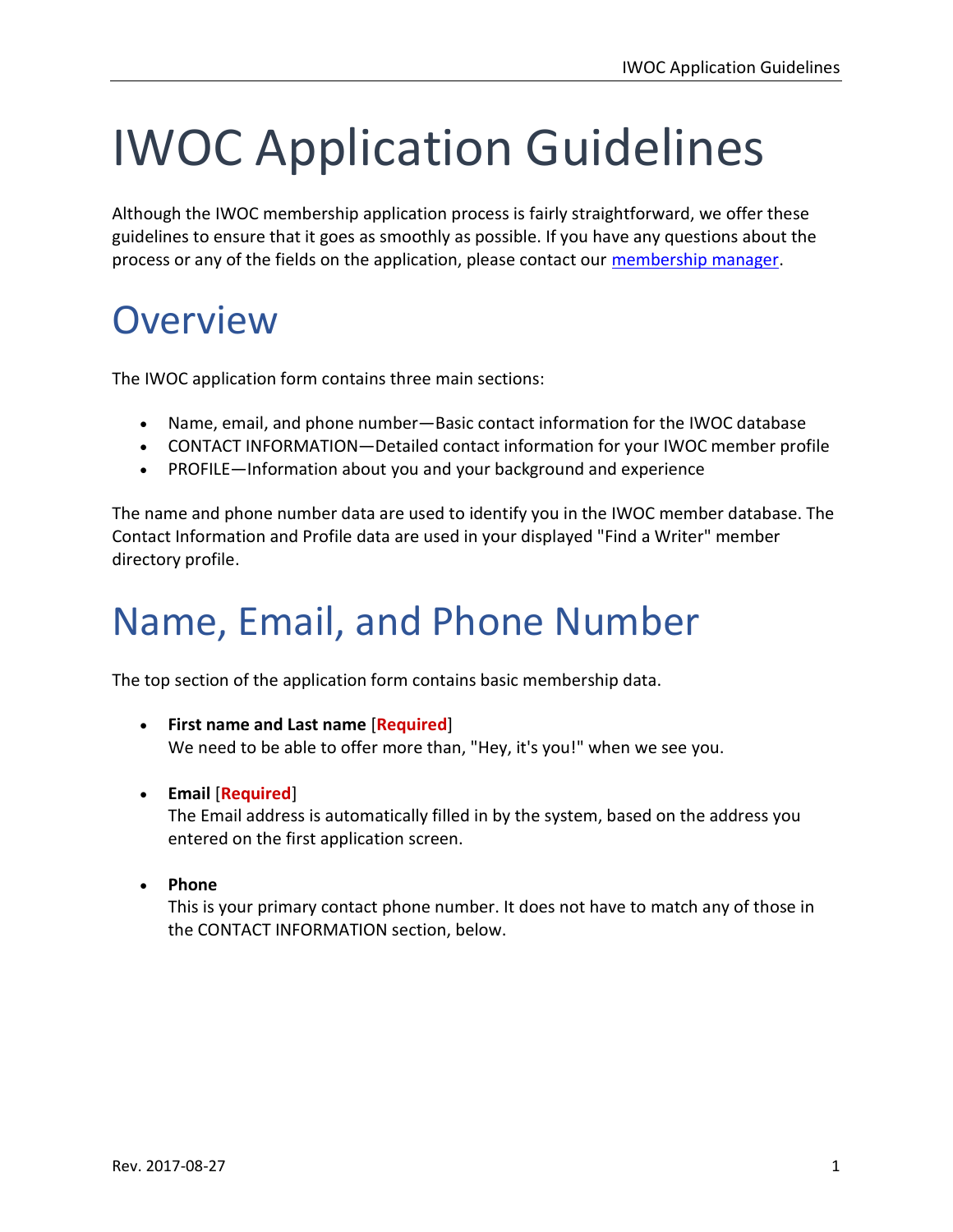# IWOC Application Guidelines

Although the IWOC membership application process is fairly straightforward, we offer these guidelines to ensure that it goes as smoothly as possible. If you have any questions about the process or any of the fields on the application, please contact our membership manager.

### **Overview**

The IWOC application form contains three main sections:

- Name, email, and phone number—Basic contact information for the IWOC database
- CONTACT INFORMATION—Detailed contact information for your IWOC member profile
- PROFILE—Information about you and your background and experience

The name and phone number data are used to identify you in the IWOC member database. The Contact Information and Profile data are used in your displayed "Find a Writer" member directory profile.

## Name, Email, and Phone Number

The top section of the application form contains basic membership data.

- First name and Last name [Required] We need to be able to offer more than, "Hey, it's you!" when we see you.
- Email [Required]

The Email address is automatically filled in by the system, based on the address you entered on the first application screen.

• Phone

This is your primary contact phone number. It does not have to match any of those in the CONTACT INFORMATION section, below.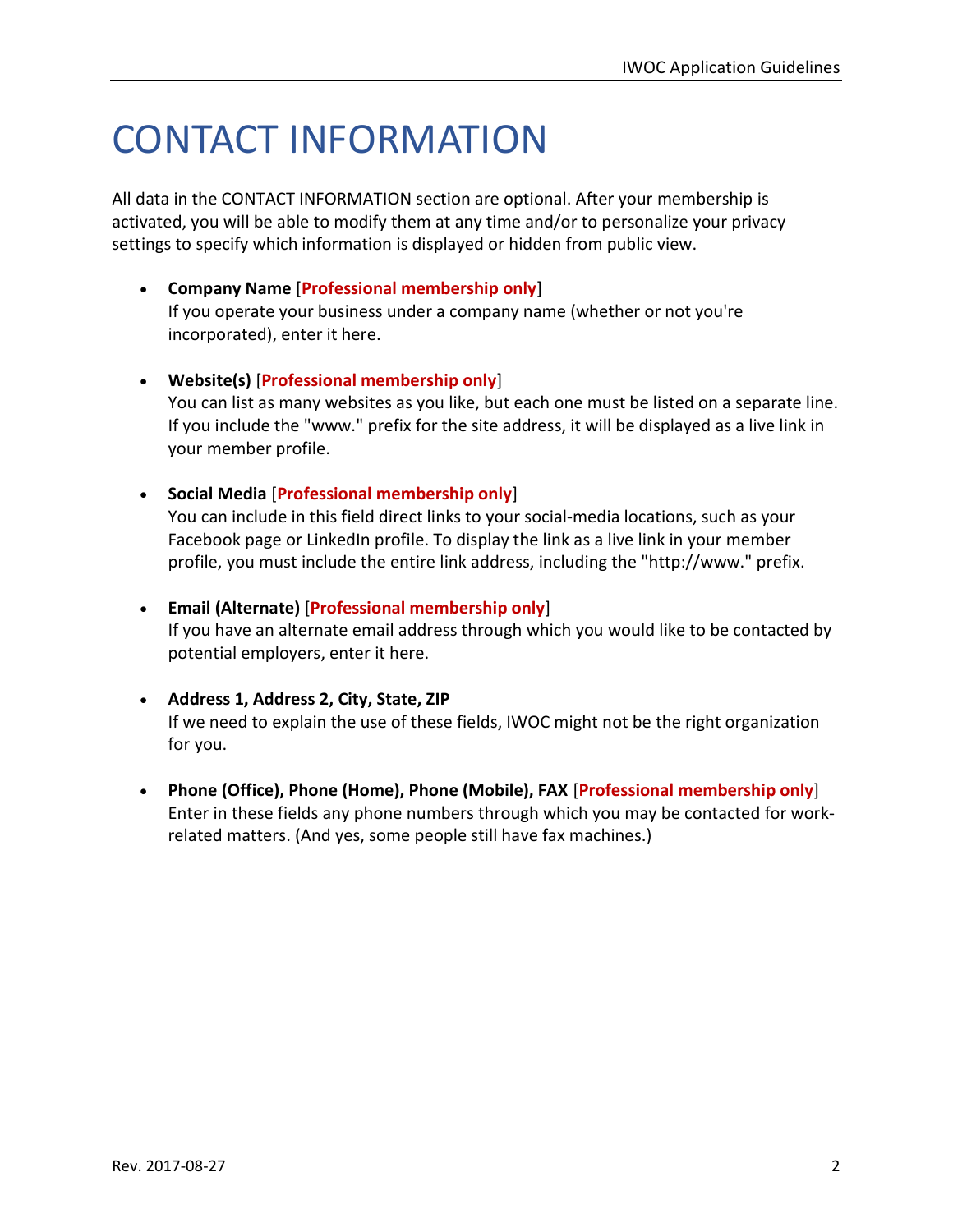# CONTACT INFORMATION

All data in the CONTACT INFORMATION section are optional. After your membership is activated, you will be able to modify them at any time and/or to personalize your privacy settings to specify which information is displayed or hidden from public view.

 Company Name [Professional membership only] If you operate your business under a company name (whether or not you're

incorporated), enter it here.

- Website(s) [Professional membership only] You can list as many websites as you like, but each one must be listed on a separate line. If you include the "www." prefix for the site address, it will be displayed as a live link in your member profile.
- Social Media [Professional membership only]

You can include in this field direct links to your social-media locations, such as your Facebook page or LinkedIn profile. To display the link as a live link in your member profile, you must include the entire link address, including the "http://www." prefix.

Email (Alternate) [Professional membership only]

If you have an alternate email address through which you would like to be contacted by potential employers, enter it here.

- Address 1, Address 2, City, State, ZIP If we need to explain the use of these fields, IWOC might not be the right organization for you.
- Phone (Office), Phone (Home), Phone (Mobile), FAX [Professional membership only] Enter in these fields any phone numbers through which you may be contacted for workrelated matters. (And yes, some people still have fax machines.)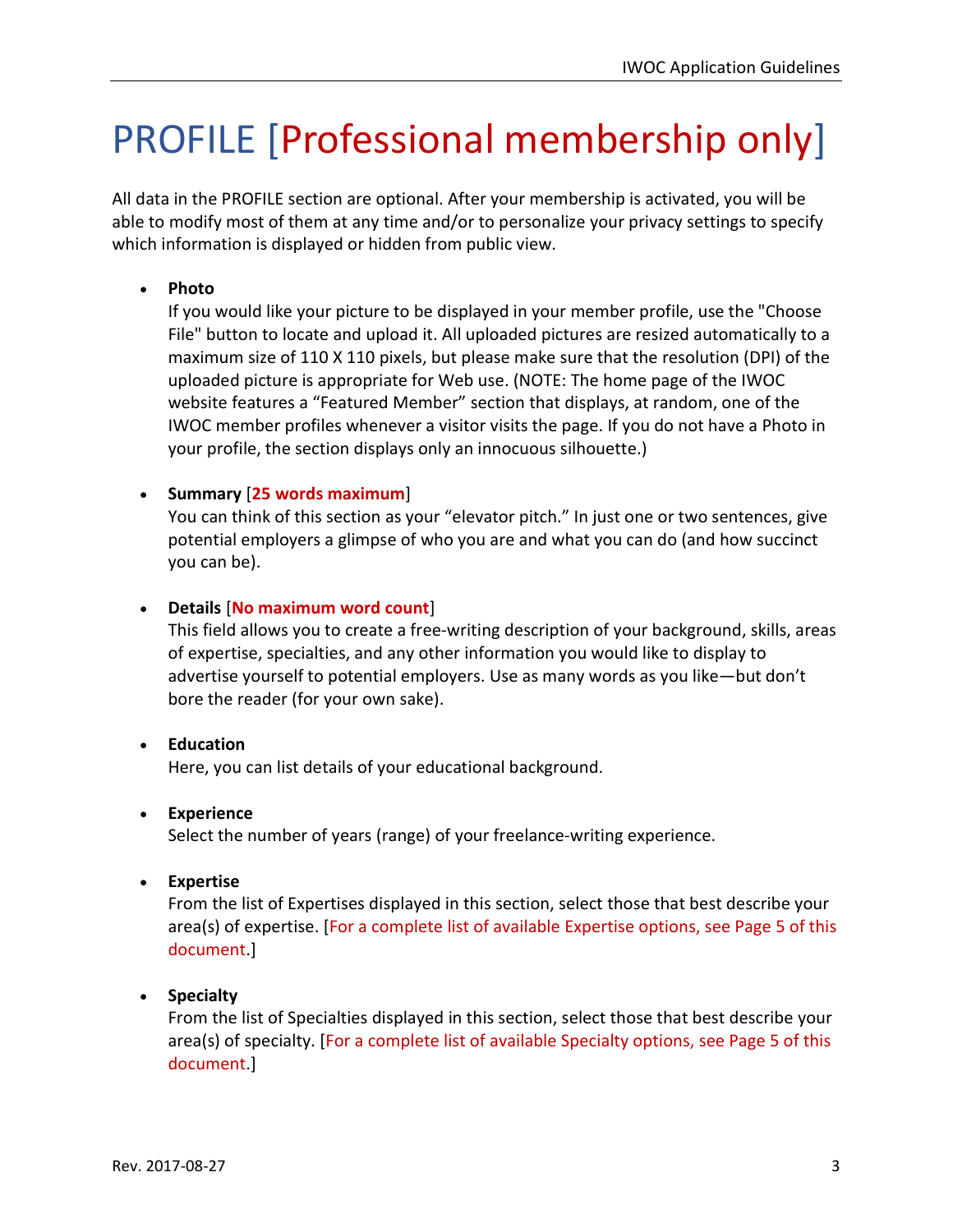# PROFILE [Professional membership only]

All data in the PROFILE section are optional. After your membership is activated, you will be able to modify most of them at any time and/or to personalize your privacy settings to specify which information is displayed or hidden from public view.

#### • Photo

If you would like your picture to be displayed in your member profile, use the "Choose File" button to locate and upload it. All uploaded pictures are resized automatically to a maximum size of 110 X 110 pixels, but please make sure that the resolution (DPI) of the uploaded picture is appropriate for Web use. (NOTE: The home page of the IWOC website features a "Featured Member" section that displays, at random, one of the IWOC member profiles whenever a visitor visits the page. If you do not have a Photo in your profile, the section displays only an innocuous silhouette.)

#### • Summary  $[25$  words maximum $]$

You can think of this section as your "elevator pitch." In just one or two sentences, give potential employers a glimpse of who you are and what you can do (and how succinct you can be).

#### Details [No maximum word count]

This field allows you to create a free-writing description of your background, skills, areas of expertise, specialties, and any other information you would like to display to advertise yourself to potential employers. Use as many words as you like—but don't bore the reader (for your own sake).

#### • Education

Here, you can list details of your educational background.

#### Experience

Select the number of years (range) of your freelance-writing experience.

#### Expertise

From the list of Expertises displayed in this section, select those that best describe your area(s) of expertise. [For a complete list of available Expertise options, see Page 5 of this document.]

#### • Specialty

From the list of Specialties displayed in this section, select those that best describe your area(s) of specialty. [For a complete list of available Specialty options, see Page 5 of this document.]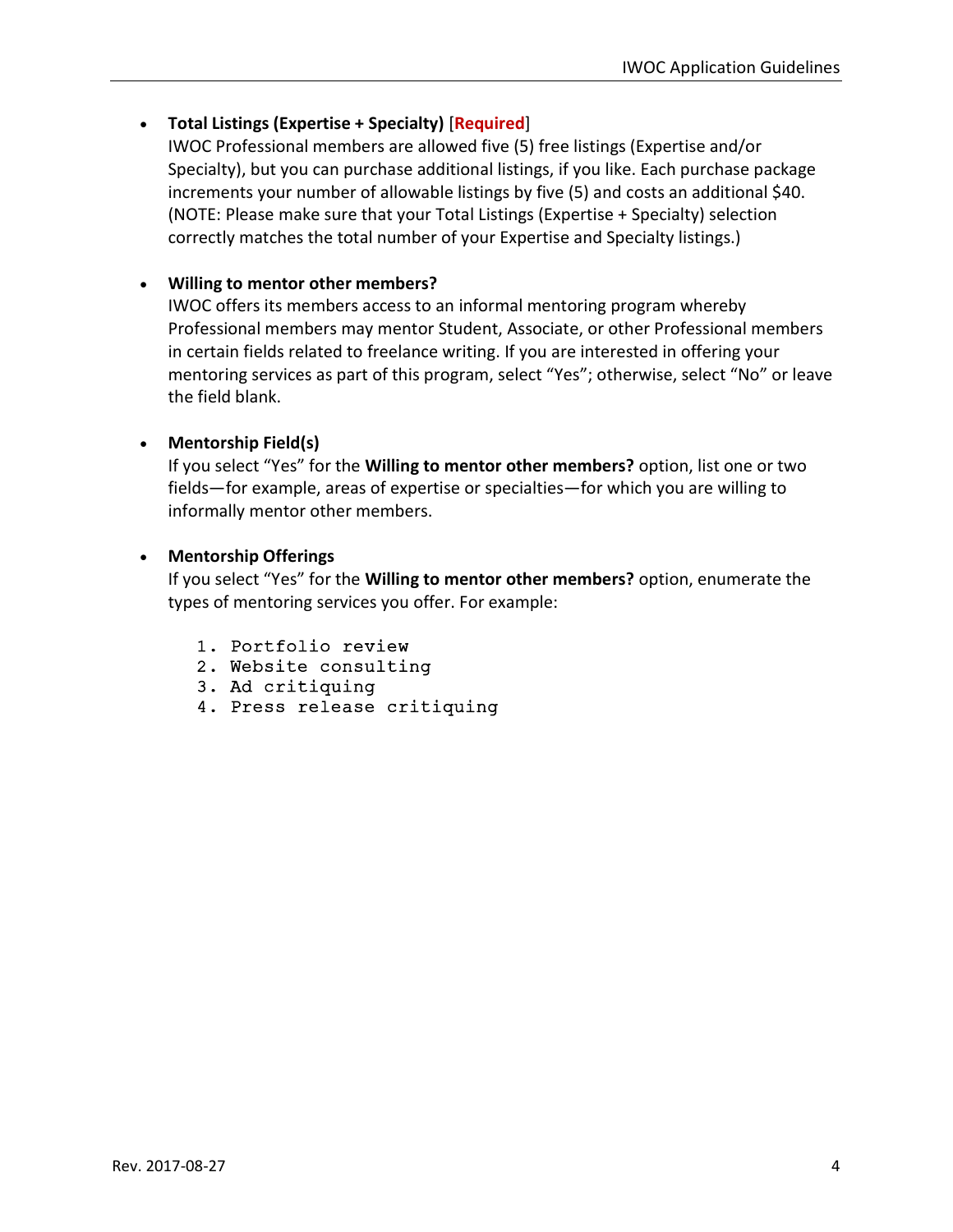#### Total Listings (Expertise + Specialty) [Required]

IWOC Professional members are allowed five (5) free listings (Expertise and/or Specialty), but you can purchase additional listings, if you like. Each purchase package increments your number of allowable listings by five (5) and costs an additional \$40. (NOTE: Please make sure that your Total Listings (Expertise + Specialty) selection correctly matches the total number of your Expertise and Specialty listings.)

#### Willing to mentor other members?

IWOC offers its members access to an informal mentoring program whereby Professional members may mentor Student, Associate, or other Professional members in certain fields related to freelance writing. If you are interested in offering your mentoring services as part of this program, select "Yes"; otherwise, select "No" or leave the field blank.

#### • Mentorship Field(s)

If you select "Yes" for the Willing to mentor other members? option, list one or two fields—for example, areas of expertise or specialties—for which you are willing to informally mentor other members.

#### Mentorship Offerings

If you select "Yes" for the Willing to mentor other members? option, enumerate the types of mentoring services you offer. For example:

- 1. Portfolio review
- 2. Website consulting
- 3. Ad critiquing
- 4. Press release critiquing